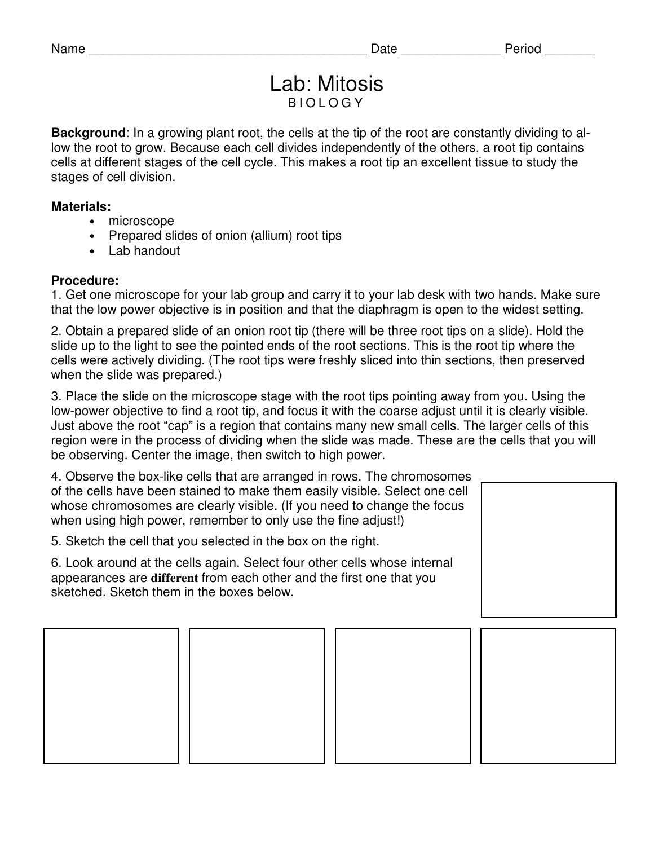## Lab: Mitosis B I O L O G Y

**Background**: In a growing plant root, the cells at the tip of the root are constantly dividing to allow the root to grow. Because each cell divides independently of the others, a root tip contains cells at different stages of the cell cycle. This makes a root tip an excellent tissue to study the stages of cell division.

## **Materials:**

- microscope
- Prepared slides of onion (allium) root tips
- Lab handout

## **Procedure:**

1. Get one microscope for your lab group and carry it to your lab desk with two hands. Make sure that the low power objective is in position and that the diaphragm is open to the widest setting.

2. Obtain a prepared slide of an onion root tip (there will be three root tips on a slide). Hold the slide up to the light to see the pointed ends of the root sections. This is the root tip where the cells were actively dividing. (The root tips were freshly sliced into thin sections, then preserved when the slide was prepared.)

3. Place the slide on the microscope stage with the root tips pointing away from you. Using the low-power objective to find a root tip, and focus it with the coarse adjust until it is clearly visible. Just above the root "cap" is a region that contains many new small cells. The larger cells of this region were in the process of dividing when the slide was made. These are the cells that you will be observing. Center the image, then switch to high power.

| 4. Observe the box-like cells that are arranged in rows. The chromosomes<br>of the cells have been stained to make them easily visible. Select one cell<br>whose chromosomes are clearly visible. (If you need to change the focus<br>when using high power, remember to only use the fine adjust!) |  |
|-----------------------------------------------------------------------------------------------------------------------------------------------------------------------------------------------------------------------------------------------------------------------------------------------------|--|
| 5. Sketch the cell that you selected in the box on the right.                                                                                                                                                                                                                                       |  |
| 6. Look around at the cells again. Select four other cells whose internal<br>appearances are different from each other and the first one that you<br>sketched. Sketch them in the boxes below.                                                                                                      |  |
|                                                                                                                                                                                                                                                                                                     |  |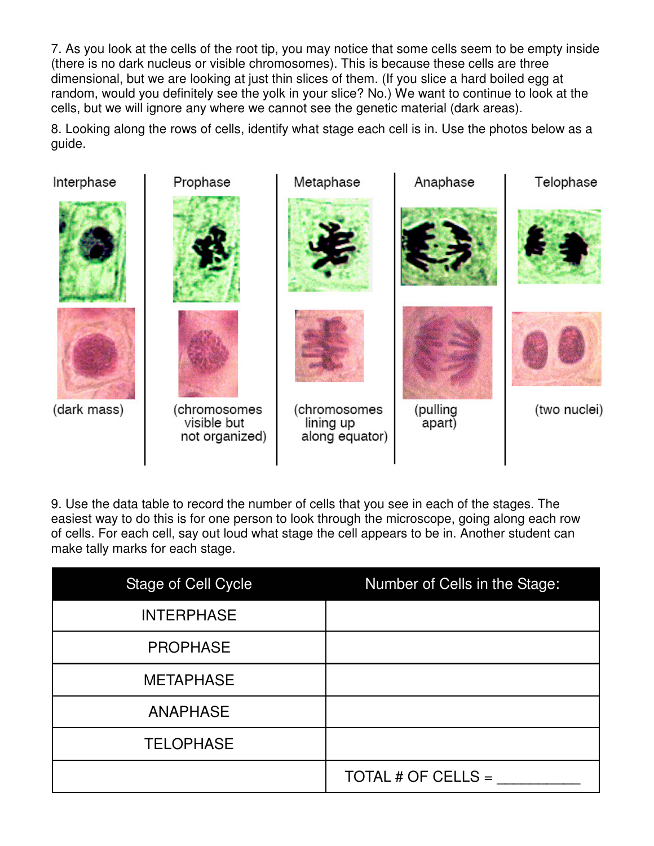7. As you look at the cells of the root tip, you may notice that some cells seem to be empty inside (there is no dark nucleus or visible chromosomes). This is because these cells are three dimensional, but we are looking at just thin slices of them. (If you slice a hard boiled egg at random, would you definitely see the yolk in your slice? No.) We want to continue to look at the cells, but we will ignore any where we cannot see the genetic material (dark areas).

8. Looking along the rows of cells, identify what stage each cell is in. Use the photos below as a guide.



9. Use the data table to record the number of cells that you see in each of the stages. The easiest way to do this is for one person to look through the microscope, going along each row of cells. For each cell, say out loud what stage the cell appears to be in. Another student can make tally marks for each stage.

| <b>Stage of Cell Cycle</b> | Number of Cells in the Stage: |  |  |  |  |  |  |  |
|----------------------------|-------------------------------|--|--|--|--|--|--|--|
| <b>INTERPHASE</b>          |                               |  |  |  |  |  |  |  |
| <b>PROPHASE</b>            |                               |  |  |  |  |  |  |  |
| <b>METAPHASE</b>           |                               |  |  |  |  |  |  |  |
| <b>ANAPHASE</b>            |                               |  |  |  |  |  |  |  |
| <b>TELOPHASE</b>           |                               |  |  |  |  |  |  |  |
|                            | TOTAL # OF CELLS =            |  |  |  |  |  |  |  |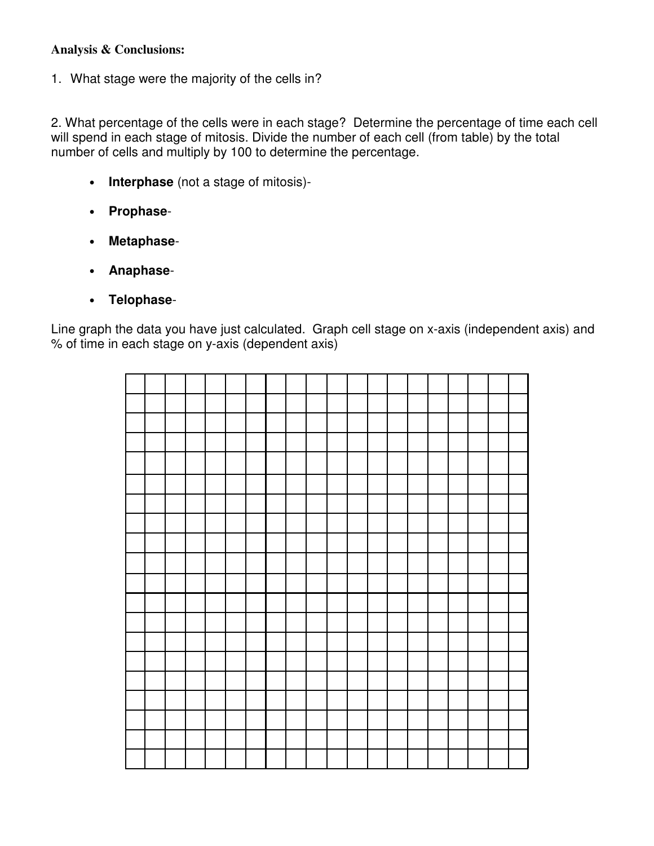## **Analysis & Conclusions:**

1. What stage were the majority of the cells in?

2. What percentage of the cells were in each stage? Determine the percentage of time each cell will spend in each stage of mitosis. Divide the number of each cell (from table) by the total number of cells and multiply by 100 to determine the percentage.

- **Interphase** (not a stage of mitosis)-
- **Prophase**-
- **Metaphase**-
- **Anaphase**-
- **Telophase**-

Line graph the data you have just calculated. Graph cell stage on x-axis (independent axis) and % of time in each stage on y-axis (dependent axis)